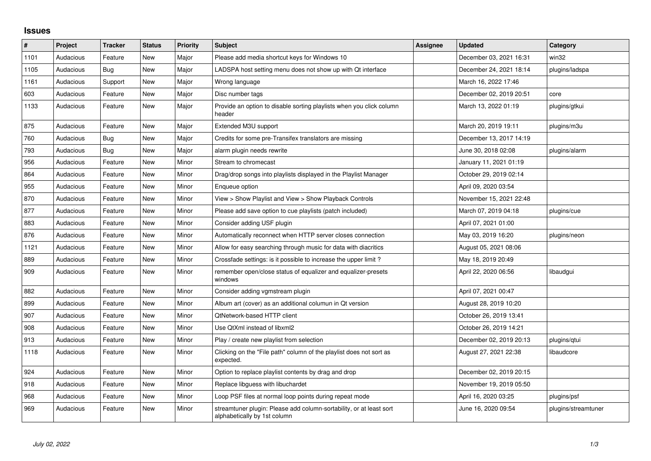## **Issues**

| $\#$ | Project   | <b>Tracker</b> | <b>Status</b> | Priority | <b>Subject</b>                                                                                      | <b>Assignee</b> | <b>Updated</b>          | Category            |
|------|-----------|----------------|---------------|----------|-----------------------------------------------------------------------------------------------------|-----------------|-------------------------|---------------------|
| 1101 | Audacious | Feature        | <b>New</b>    | Major    | Please add media shortcut keys for Windows 10                                                       |                 | December 03, 2021 16:31 | win32               |
| 1105 | Audacious | <b>Bug</b>     | New           | Major    | LADSPA host setting menu does not show up with Qt interface                                         |                 | December 24, 2021 18:14 | plugins/ladspa      |
| 1161 | Audacious | Support        | New           | Major    | Wrong language                                                                                      |                 | March 16, 2022 17:46    |                     |
| 603  | Audacious | Feature        | <b>New</b>    | Major    | Disc number tags                                                                                    |                 | December 02, 2019 20:51 | core                |
| 1133 | Audacious | Feature        | New           | Major    | Provide an option to disable sorting playlists when you click column<br>header                      |                 | March 13, 2022 01:19    | plugins/gtkui       |
| 875  | Audacious | Feature        | New           | Major    | Extended M3U support                                                                                |                 | March 20, 2019 19:11    | plugins/m3u         |
| 760  | Audacious | <b>Bug</b>     | New           | Major    | Credits for some pre-Transifex translators are missing                                              |                 | December 13, 2017 14:19 |                     |
| 793  | Audacious | Bug            | New           | Major    | alarm plugin needs rewrite                                                                          |                 | June 30, 2018 02:08     | plugins/alarm       |
| 956  | Audacious | Feature        | New           | Minor    | Stream to chromecast                                                                                |                 | January 11, 2021 01:19  |                     |
| 864  | Audacious | Feature        | New           | Minor    | Drag/drop songs into playlists displayed in the Playlist Manager                                    |                 | October 29, 2019 02:14  |                     |
| 955  | Audacious | Feature        | New           | Minor    | Enqueue option                                                                                      |                 | April 09, 2020 03:54    |                     |
| 870  | Audacious | Feature        | New           | Minor    | View > Show Playlist and View > Show Playback Controls                                              |                 | November 15, 2021 22:48 |                     |
| 877  | Audacious | Feature        | New           | Minor    | Please add save option to cue playlists (patch included)                                            |                 | March 07, 2019 04:18    | plugins/cue         |
| 883  | Audacious | Feature        | New           | Minor    | Consider adding USF plugin                                                                          |                 | April 07, 2021 01:00    |                     |
| 876  | Audacious | Feature        | <b>New</b>    | Minor    | Automatically reconnect when HTTP server closes connection                                          |                 | May 03, 2019 16:20      | plugins/neon        |
| 1121 | Audacious | Feature        | New           | Minor    | Allow for easy searching through music for data with diacritics                                     |                 | August 05, 2021 08:06   |                     |
| 889  | Audacious | Feature        | New           | Minor    | Crossfade settings: is it possible to increase the upper limit?                                     |                 | May 18, 2019 20:49      |                     |
| 909  | Audacious | Feature        | New           | Minor    | remember open/close status of equalizer and equalizer-presets<br>windows                            |                 | April 22, 2020 06:56    | libaudgui           |
| 882  | Audacious | Feature        | New           | Minor    | Consider adding vgmstream plugin                                                                    |                 | April 07, 2021 00:47    |                     |
| 899  | Audacious | Feature        | <b>New</b>    | Minor    | Album art (cover) as an additional columun in Qt version                                            |                 | August 28, 2019 10:20   |                     |
| 907  | Audacious | Feature        | New           | Minor    | QtNetwork-based HTTP client                                                                         |                 | October 26, 2019 13:41  |                     |
| 908  | Audacious | Feature        | New           | Minor    | Use QtXml instead of libxml2                                                                        |                 | October 26, 2019 14:21  |                     |
| 913  | Audacious | Feature        | New           | Minor    | Play / create new playlist from selection                                                           |                 | December 02, 2019 20:13 | plugins/qtui        |
| 1118 | Audacious | Feature        | New           | Minor    | Clicking on the "File path" column of the playlist does not sort as<br>expected.                    |                 | August 27, 2021 22:38   | libaudcore          |
| 924  | Audacious | Feature        | <b>New</b>    | Minor    | Option to replace playlist contents by drag and drop                                                |                 | December 02, 2019 20:15 |                     |
| 918  | Audacious | Feature        | New           | Minor    | Replace libguess with libuchardet                                                                   |                 | November 19, 2019 05:50 |                     |
| 968  | Audacious | Feature        | New           | Minor    | Loop PSF files at normal loop points during repeat mode                                             |                 | April 16, 2020 03:25    | plugins/psf         |
| 969  | Audacious | Feature        | <b>New</b>    | Minor    | streamtuner plugin: Please add column-sortability, or at least sort<br>alphabetically by 1st column |                 | June 16, 2020 09:54     | plugins/streamtuner |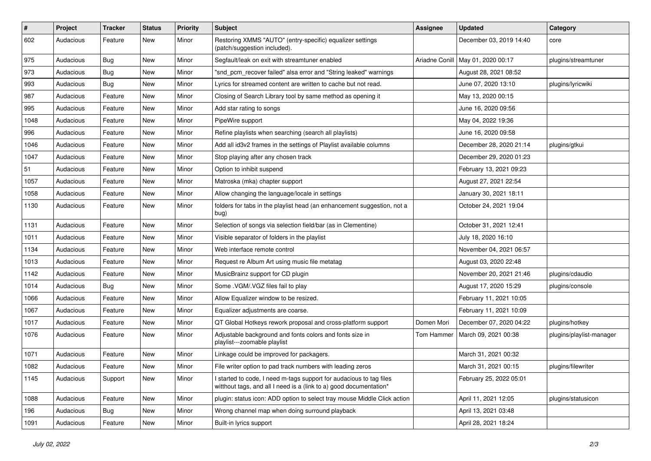| $\#$ | Project   | <b>Tracker</b> | <b>Status</b> | <b>Priority</b> | <b>Subject</b>                                                                                                                            | <b>Assignee</b> | <b>Updated</b>                      | Category                 |
|------|-----------|----------------|---------------|-----------------|-------------------------------------------------------------------------------------------------------------------------------------------|-----------------|-------------------------------------|--------------------------|
| 602  | Audacious | Feature        | New           | Minor           | Restoring XMMS "AUTO" (entry-specific) equalizer settings<br>(patch/suggestion included).                                                 |                 | December 03, 2019 14:40             | core                     |
| 975  | Audacious | <b>Bug</b>     | New           | Minor           | Segfault/leak on exit with streamtuner enabled                                                                                            |                 | Ariadne Conill   May 01, 2020 00:17 | plugins/streamtuner      |
| 973  | Audacious | <b>Bug</b>     | New           | Minor           | "snd pcm recover failed" alsa error and "String leaked" warnings                                                                          |                 | August 28, 2021 08:52               |                          |
| 993  | Audacious | Bug            | New           | Minor           | Lyrics for streamed content are written to cache but not read.                                                                            |                 | June 07, 2020 13:10                 | plugins/lyricwiki        |
| 987  | Audacious | Feature        | New           | Minor           | Closing of Search Library tool by same method as opening it                                                                               |                 | May 13, 2020 00:15                  |                          |
| 995  | Audacious | Feature        | <b>New</b>    | Minor           | Add star rating to songs                                                                                                                  |                 | June 16, 2020 09:56                 |                          |
| 1048 | Audacious | Feature        | New           | Minor           | PipeWire support                                                                                                                          |                 | May 04, 2022 19:36                  |                          |
| 996  | Audacious | Feature        | New           | Minor           | Refine playlists when searching (search all playlists)                                                                                    |                 | June 16, 2020 09:58                 |                          |
| 1046 | Audacious | Feature        | <b>New</b>    | Minor           | Add all id3v2 frames in the settings of Playlist available columns                                                                        |                 | December 28, 2020 21:14             | plugins/gtkui            |
| 1047 | Audacious | Feature        | New           | Minor           | Stop playing after any chosen track                                                                                                       |                 | December 29, 2020 01:23             |                          |
| 51   | Audacious | Feature        | New           | Minor           | Option to inhibit suspend                                                                                                                 |                 | February 13, 2021 09:23             |                          |
| 1057 | Audacious | Feature        | New           | Minor           | Matroska (mka) chapter support                                                                                                            |                 | August 27, 2021 22:54               |                          |
| 1058 | Audacious | Feature        | New           | Minor           | Allow changing the language/locale in settings                                                                                            |                 | January 30, 2021 18:11              |                          |
| 1130 | Audacious | Feature        | New           | Minor           | folders for tabs in the playlist head (an enhancement suggestion, not a<br>bug)                                                           |                 | October 24, 2021 19:04              |                          |
| 1131 | Audacious | Feature        | New           | Minor           | Selection of songs via selection field/bar (as in Clementine)                                                                             |                 | October 31, 2021 12:41              |                          |
| 1011 | Audacious | Feature        | <b>New</b>    | Minor           | Visible separator of folders in the playlist                                                                                              |                 | July 18, 2020 16:10                 |                          |
| 1134 | Audacious | Feature        | New           | Minor           | Web interface remote control                                                                                                              |                 | November 04, 2021 06:57             |                          |
| 1013 | Audacious | Feature        | New           | Minor           | Request re Album Art using music file metatag                                                                                             |                 | August 03, 2020 22:48               |                          |
| 1142 | Audacious | Feature        | New           | Minor           | MusicBrainz support for CD plugin                                                                                                         |                 | November 20, 2021 21:46             | plugins/cdaudio          |
| 1014 | Audacious | Bug            | New           | Minor           | Some .VGM/.VGZ files fail to play                                                                                                         |                 | August 17, 2020 15:29               | plugins/console          |
| 1066 | Audacious | Feature        | <b>New</b>    | Minor           | Allow Equalizer window to be resized.                                                                                                     |                 | February 11, 2021 10:05             |                          |
| 1067 | Audacious | Feature        | New           | Minor           | Equalizer adjustments are coarse.                                                                                                         |                 | February 11, 2021 10:09             |                          |
| 1017 | Audacious | Feature        | New           | Minor           | QT Global Hotkeys rework proposal and cross-platform support                                                                              | Domen Mori      | December 07, 2020 04:22             | plugins/hotkey           |
| 1076 | Audacious | Feature        | New           | Minor           | Adjustable background and fonts colors and fonts size in<br>playlist---zoomable playlist                                                  | Tom Hammer      | March 09, 2021 00:38                | plugins/playlist-manager |
| 1071 | Audacious | Feature        | New           | Minor           | Linkage could be improved for packagers.                                                                                                  |                 | March 31, 2021 00:32                |                          |
| 1082 | Audacious | Feature        | New           | Minor           | File writer option to pad track numbers with leading zeros                                                                                |                 | March 31, 2021 00:15                | plugins/filewriter       |
| 1145 | Audacious | Support        | New           | Minor           | I started to code, I need m-tags support for audacious to tag files<br>witthout tags, and all I need is a (link to a) good documentation* |                 | February 25, 2022 05:01             |                          |
| 1088 | Audacious | Feature        | New           | Minor           | plugin: status icon: ADD option to select tray mouse Middle Click action                                                                  |                 | April 11, 2021 12:05                | plugins/statusicon       |
| 196  | Audacious | <b>Bug</b>     | New           | Minor           | Wrong channel map when doing surround playback                                                                                            |                 | April 13, 2021 03:48                |                          |
| 1091 | Audacious | Feature        | New           | Minor           | Built-in lyrics support                                                                                                                   |                 | April 28, 2021 18:24                |                          |